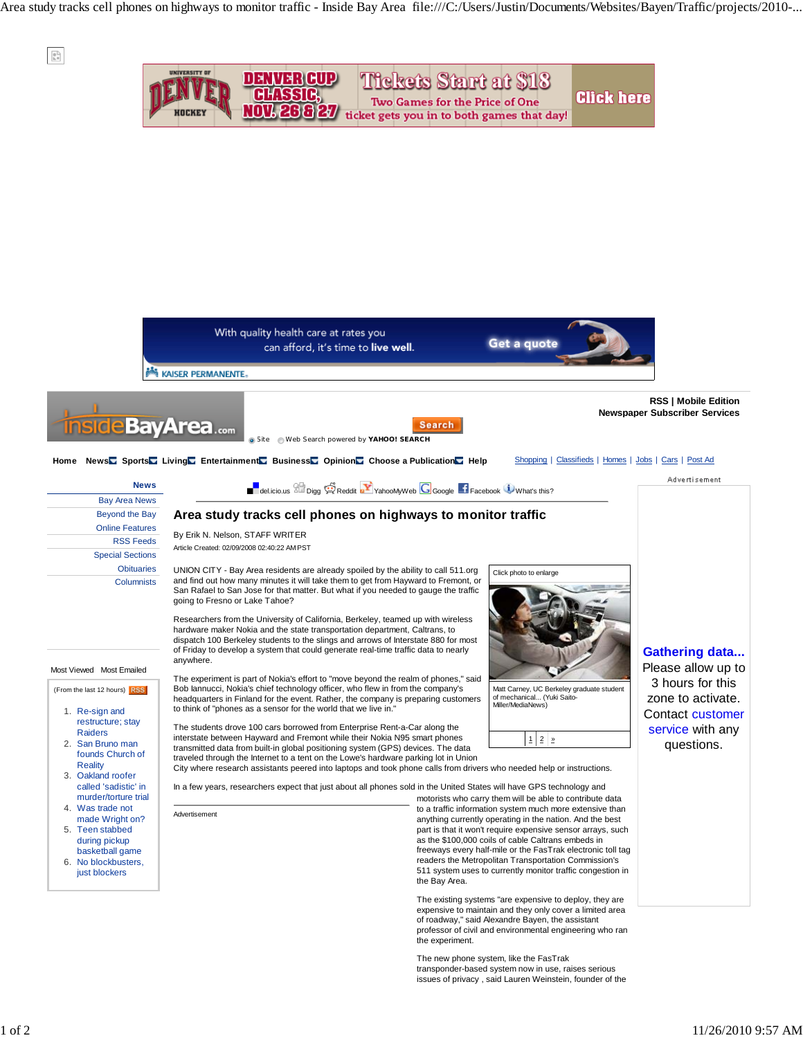Area study tracks cell phones on highways to monitor traffic - Inside Bay Area file:///C:/Users/Justin/Documents/Websites/Bayen/Traffic/projects/2010-...



The new phone system, like the FasTrak transponder-based system now in use, raises serious issues of privacy , said Lauren Weinstein, founder of the